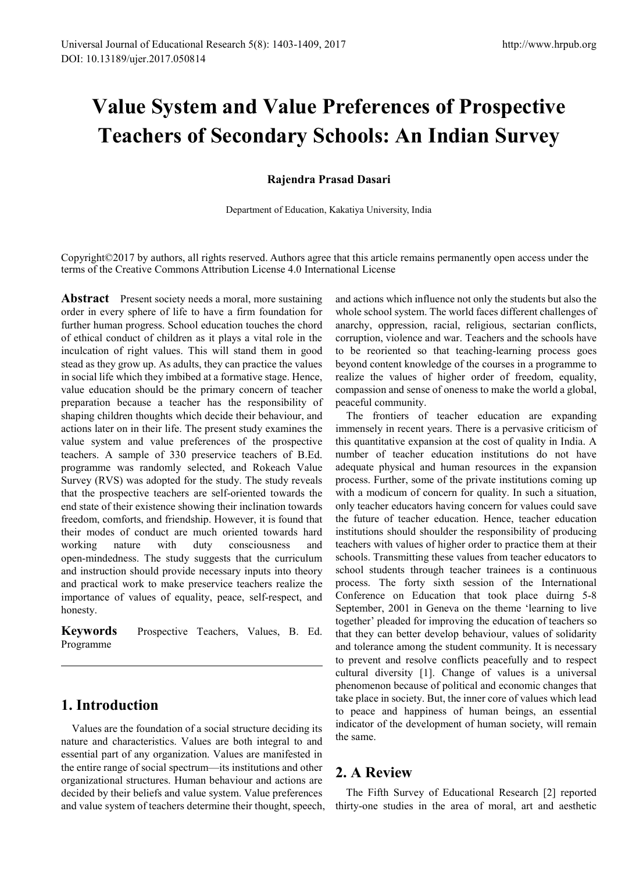# **Value System and Value Preferences of Prospective Teachers of Secondary Schools: An Indian Survey**

#### **Rajendra Prasad Dasari**

Department of Education, Kakatiya University, India

Copyright©2017 by authors, all rights reserved. Authors agree that this article remains permanently open access under the terms of the Creative Commons Attribution License 4.0 International License

**Abstract** Present society needs a moral, more sustaining order in every sphere of life to have a firm foundation for further human progress. School education touches the chord of ethical conduct of children as it plays a vital role in the inculcation of right values. This will stand them in good stead as they grow up. As adults, they can practice the values in social life which they imbibed at a formative stage. Hence, value education should be the primary concern of teacher preparation because a teacher has the responsibility of shaping children thoughts which decide their behaviour, and actions later on in their life. The present study examines the value system and value preferences of the prospective teachers. A sample of 330 preservice teachers of B.Ed. programme was randomly selected, and Rokeach Value Survey (RVS) was adopted for the study. The study reveals that the prospective teachers are self-oriented towards the end state of their existence showing their inclination towards freedom, comforts, and friendship. However, it is found that their modes of conduct are much oriented towards hard working nature with duty consciousness and open-mindedness. The study suggests that the curriculum and instruction should provide necessary inputs into theory and practical work to make preservice teachers realize the importance of values of equality, peace, self-respect, and honesty.

**Keywords** Prospective Teachers, Values, B. Ed. Programme

## **1. Introduction**

Values are the foundation of a social structure deciding its nature and characteristics. Values are both integral to and essential part of any organization. Values are manifested in the entire range of social spectrum—its institutions and other organizational structures. Human behaviour and actions are decided by their beliefs and value system. Value preferences and value system of teachers determine their thought, speech,

and actions which influence not only the students but also the whole school system. The world faces different challenges of anarchy, oppression, racial, religious, sectarian conflicts, corruption, violence and war. Teachers and the schools have to be reoriented so that teaching-learning process goes beyond content knowledge of the courses in a programme to realize the values of higher order of freedom, equality, compassion and sense of oneness to make the world a global, peaceful community.

The frontiers of teacher education are expanding immensely in recent years. There is a pervasive criticism of this quantitative expansion at the cost of quality in India. A number of teacher education institutions do not have adequate physical and human resources in the expansion process. Further, some of the private institutions coming up with a modicum of concern for quality. In such a situation, only teacher educators having concern for values could save the future of teacher education. Hence, teacher education institutions should shoulder the responsibility of producing teachers with values of higher order to practice them at their schools. Transmitting these values from teacher educators to school students through teacher trainees is a continuous process. The forty sixth session of the International Conference on Education that took place duirng 5-8 September, 2001 in Geneva on the theme 'learning to live together' pleaded for improving the education of teachers so that they can better develop behaviour, values of solidarity and tolerance among the student community. It is necessary to prevent and resolve conflicts peacefully and to respect cultural diversity [1]. Change of values is a universal phenomenon because of political and economic changes that take place in society. But, the inner core of values which lead to peace and happiness of human beings, an essential indicator of the development of human society, will remain the same.

## **2. A Review**

The Fifth Survey of Educational Research [2] reported thirty-one studies in the area of moral, art and aesthetic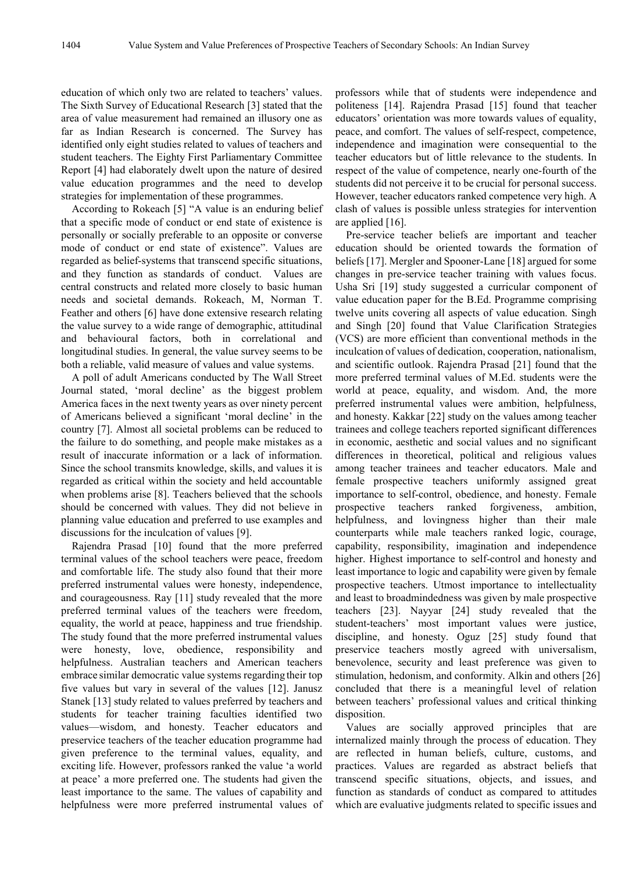education of which only two are related to teachers' values. The Sixth Survey of Educational Research [3] stated that the area of value measurement had remained an illusory one as far as Indian Research is concerned. The Survey has identified only eight studies related to values of teachers and student teachers. The Eighty First Parliamentary Committee Report [4] had elaborately dwelt upon the nature of desired value education programmes and the need to develop strategies for implementation of these programmes.

According to Rokeach [5] "A value is an enduring belief that a specific mode of conduct or end state of existence is personally or socially preferable to an opposite or converse mode of conduct or end state of existence". Values are regarded as belief-systems that transcend specific situations, and they function as standards of conduct. Values are central constructs and related more closely to basic human needs and societal demands. Rokeach, M, Norman T. Feather and others [6] have done extensive research relating the value survey to a wide range of demographic, attitudinal and behavioural factors, both in correlational and longitudinal studies. In general, the value survey seems to be both a reliable, valid measure of values and value systems.

A poll of adult Americans conducted by The Wall Street Journal stated, 'moral decline' as the biggest problem America faces in the next twenty years as over ninety percent of Americans believed a significant 'moral decline' in the country [7]. Almost all societal problems can be reduced to the failure to do something, and people make mistakes as a result of inaccurate information or a lack of information. Since the school transmits knowledge, skills, and values it is regarded as critical within the society and held accountable when problems arise [8]. Teachers believed that the schools should be concerned with values. They did not believe in planning value education and preferred to use examples and discussions for the inculcation of values [9].

Rajendra Prasad [10] found that the more preferred terminal values of the school teachers were peace, freedom and comfortable life. The study also found that their more preferred instrumental values were honesty, independence, and courageousness. Ray [11] study revealed that the more preferred terminal values of the teachers were freedom, equality, the world at peace, happiness and true friendship. The study found that the more preferred instrumental values were honesty, love, obedience, responsibility and helpfulness. Australian teachers and American teachers embrace similar democratic value systems regarding their top five values but vary in several of the values [12]. Janusz Stanek [13] study related to values preferred by teachers and students for teacher training faculties identified two values—wisdom, and honesty. Teacher educators and preservice teachers of the teacher education programme had given preference to the terminal values, equality, and exciting life. However, professors ranked the value 'a world at peace' a more preferred one. The students had given the least importance to the same. The values of capability and helpfulness were more preferred instrumental values of professors while that of students were independence and politeness [14]. Rajendra Prasad [15] found that teacher educators' orientation was more towards values of equality, peace, and comfort. The values of self-respect, competence, independence and imagination were consequential to the teacher educators but of little relevance to the students. In respect of the value of competence, nearly one-fourth of the students did not perceive it to be crucial for personal success. However, teacher educators ranked competence very high. A clash of values is possible unless strategies for intervention are applied [16].

Pre-service teacher beliefs are important and teacher education should be oriented towards the formation of beliefs [17]. Mergler and Spooner-Lane [18] argued for some changes in pre-service teacher training with values focus. Usha Sri [19] study suggested a curricular component of value education paper for the B.Ed. Programme comprising twelve units covering all aspects of value education. Singh and Singh [20] found that Value Clarification Strategies (VCS) are more efficient than conventional methods in the inculcation of values of dedication, cooperation, nationalism, and scientific outlook. Rajendra Prasad [21] found that the more preferred terminal values of M.Ed. students were the world at peace, equality, and wisdom. And, the more preferred instrumental values were ambition, helpfulness, and honesty. Kakkar [22] study on the values among teacher trainees and college teachers reported significant differences in economic, aesthetic and social values and no significant differences in theoretical, political and religious values among teacher trainees and teacher educators. Male and female prospective teachers uniformly assigned great importance to self-control, obedience, and honesty. Female prospective teachers ranked forgiveness, ambition, helpfulness, and lovingness higher than their male counterparts while male teachers ranked logic, courage, capability, responsibility, imagination and independence higher. Highest importance to self-control and honesty and least importance to logic and capability were given by female prospective teachers. Utmost importance to intellectuality and least to broadmindedness was given by male prospective teachers [23]. Nayyar [24] study revealed that the student-teachers' most important values were justice, discipline, and honesty. Oguz [25] study found that preservice teachers mostly agreed with universalism, benevolence, security and least preference was given to stimulation, hedonism, and conformity. Alkin and others [26] concluded that there is a meaningful level of relation between teachers' professional values and critical thinking disposition.

Values are socially approved principles that are internalized mainly through the process of education. They are reflected in human beliefs, culture, customs, and practices. Values are regarded as abstract beliefs that transcend specific situations, objects, and issues, and function as standards of conduct as compared to attitudes which are evaluative judgments related to specific issues and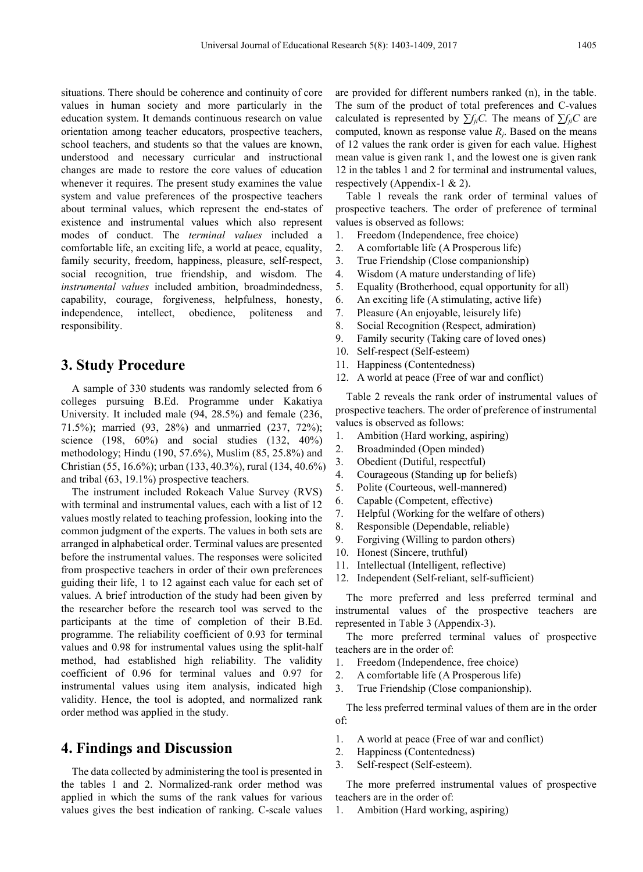situations. There should be coherence and continuity of core values in human society and more particularly in the education system. It demands continuous research on value orientation among teacher educators, prospective teachers, school teachers, and students so that the values are known, understood and necessary curricular and instructional changes are made to restore the core values of education whenever it requires. The present study examines the value system and value preferences of the prospective teachers about terminal values, which represent the end-states of existence and instrumental values which also represent modes of conduct. The *terminal values* included a comfortable life, an exciting life, a world at peace, equality, family security, freedom, happiness, pleasure, self-respect, social recognition, true friendship, and wisdom. The *instrumental values* included ambition, broadmindedness, capability, courage, forgiveness, helpfulness, honesty, independence, intellect, obedience, politeness and responsibility.

#### **3. Study Procedure**

A sample of 330 students was randomly selected from 6 colleges pursuing B.Ed. Programme under Kakatiya University. It included male (94, 28.5%) and female (236, 71.5%); married (93, 28%) and unmarried (237, 72%); science (198, 60%) and social studies (132, 40%) methodology; Hindu (190, 57.6%), Muslim (85, 25.8%) and Christian (55, 16.6%); urban (133, 40.3%), rural (134, 40.6%) and tribal (63, 19.1%) prospective teachers.

The instrument included Rokeach Value Survey (RVS) with terminal and instrumental values, each with a list of 12 values mostly related to teaching profession, looking into the common judgment of the experts. The values in both sets are arranged in alphabetical order. Terminal values are presented before the instrumental values. The responses were solicited from prospective teachers in order of their own preferences guiding their life, 1 to 12 against each value for each set of values. A brief introduction of the study had been given by the researcher before the research tool was served to the participants at the time of completion of their B.Ed. programme. The reliability coefficient of 0.93 for terminal values and 0.98 for instrumental values using the split-half method, had established high reliability. The validity coefficient of 0.96 for terminal values and 0.97 for instrumental values using item analysis, indicated high validity. Hence, the tool is adopted, and normalized rank order method was applied in the study.

#### **4. Findings and Discussion**

The data collected by administering the tool is presented in the tables 1 and 2. Normalized-rank order method was applied in which the sums of the rank values for various values gives the best indication of ranking. C-scale values

are provided for different numbers ranked (n), in the table. The sum of the product of total preferences and C-values calculated is represented by  $\sum f_{ii}C$ . The means of  $\sum f_{ii}C$  are computed, known as response value  $R_i$ . Based on the means of 12 values the rank order is given for each value. Highest mean value is given rank 1, and the lowest one is given rank 12 in the tables 1 and 2 for terminal and instrumental values, respectively (Appendix-1 & 2).

Table 1 reveals the rank order of terminal values of prospective teachers. The order of preference of terminal values is observed as follows:

- 1. Freedom (Independence, free choice)
- 2. A comfortable life (A Prosperous life)
- 3. True Friendship (Close companionship)
- 4. Wisdom (A mature understanding of life)
- 5. Equality (Brotherhood, equal opportunity for all)
- 6. An exciting life (A stimulating, active life)
- 7. Pleasure (An enjoyable, leisurely life)
- 8. Social Recognition (Respect, admiration)
- 9. Family security (Taking care of loved ones)
- 10. Self-respect (Self-esteem)
- 11. Happiness (Contentedness)
- 12. A world at peace (Free of war and conflict)

Table 2 reveals the rank order of instrumental values of prospective teachers. The order of preference of instrumental values is observed as follows:

- 1. Ambition (Hard working, aspiring)
- 2. Broadminded (Open minded)
- 3. Obedient (Dutiful, respectful)
- 4. Courageous (Standing up for beliefs)
- 5. Polite (Courteous, well-mannered)
- 6. Capable (Competent, effective)
- 7. Helpful (Working for the welfare of others)
- 8. Responsible (Dependable, reliable)
- 9. Forgiving (Willing to pardon others)
- 10. Honest (Sincere, truthful)
- 11. Intellectual (Intelligent, reflective)
- 12. Independent (Self-reliant, self-sufficient)

The more preferred and less preferred terminal and instrumental values of the prospective teachers are represented in Table 3 (Appendix-3).

The more preferred terminal values of prospective teachers are in the order of:

- 1. Freedom (Independence, free choice)
- 2. A comfortable life (A Prosperous life)
- 3. True Friendship (Close companionship).

The less preferred terminal values of them are in the order of:

- 1. A world at peace (Free of war and conflict)
- 2. Happiness (Contentedness)
- 3. Self-respect (Self-esteem).

The more preferred instrumental values of prospective teachers are in the order of:

1. Ambition (Hard working, aspiring)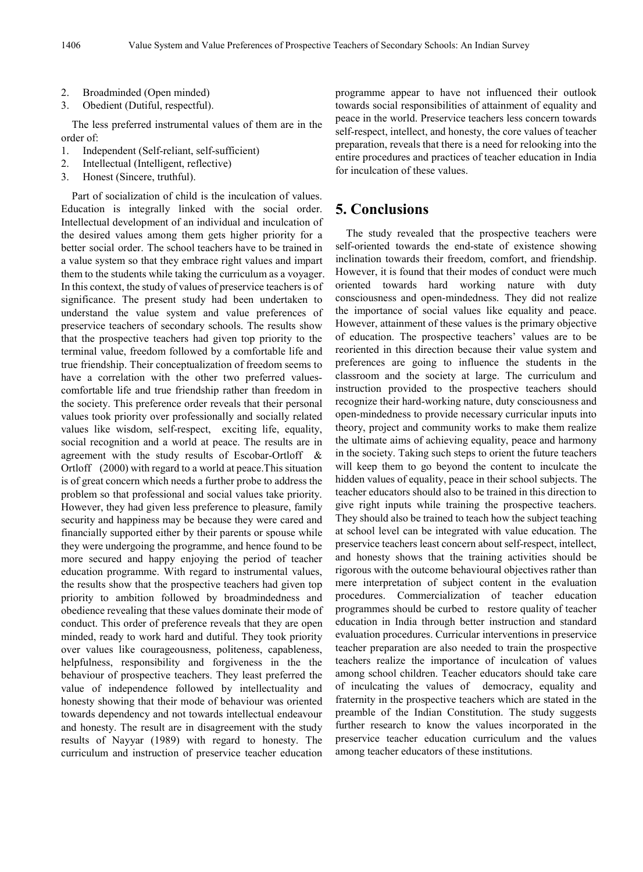- 2. Broadminded (Open minded)
- 3. Obedient (Dutiful, respectful).

The less preferred instrumental values of them are in the order of:

- 1. Independent (Self-reliant, self-sufficient)
- 2. Intellectual (Intelligent, reflective)
- 3. Honest (Sincere, truthful).

Part of socialization of child is the inculcation of values. Education is integrally linked with the social order. Intellectual development of an individual and inculcation of the desired values among them gets higher priority for a better social order. The school teachers have to be trained in a value system so that they embrace right values and impart them to the students while taking the curriculum as a voyager. In this context, the study of values of preservice teachers is of significance. The present study had been undertaken to understand the value system and value preferences of preservice teachers of secondary schools. The results show that the prospective teachers had given top priority to the terminal value, freedom followed by a comfortable life and true friendship. Their conceptualization of freedom seems to have a correlation with the other two preferred valuescomfortable life and true friendship rather than freedom in the society. This preference order reveals that their personal values took priority over professionally and socially related values like wisdom, self-respect, exciting life, equality, social recognition and a world at peace. The results are in agreement with the study results of Escobar-Ortloff & Ortloff (2000) with regard to a world at peace.This situation is of great concern which needs a further probe to address the problem so that professional and social values take priority. However, they had given less preference to pleasure, family security and happiness may be because they were cared and financially supported either by their parents or spouse while they were undergoing the programme, and hence found to be more secured and happy enjoying the period of teacher education programme. With regard to instrumental values, the results show that the prospective teachers had given top priority to ambition followed by broadmindedness and obedience revealing that these values dominate their mode of conduct. This order of preference reveals that they are open minded, ready to work hard and dutiful. They took priority over values like courageousness, politeness, capableness, helpfulness, responsibility and forgiveness in the the behaviour of prospective teachers. They least preferred the value of independence followed by intellectuality and honesty showing that their mode of behaviour was oriented towards dependency and not towards intellectual endeavour and honesty. The result are in disagreement with the study results of Nayyar (1989) with regard to honesty. The curriculum and instruction of preservice teacher education

programme appear to have not influenced their outlook towards social responsibilities of attainment of equality and peace in the world. Preservice teachers less concern towards self-respect, intellect, and honesty, the core values of teacher preparation, reveals that there is a need for relooking into the entire procedures and practices of teacher education in India for inculcation of these values.

#### **5. Conclusions**

The study revealed that the prospective teachers were self-oriented towards the end-state of existence showing inclination towards their freedom, comfort, and friendship. However, it is found that their modes of conduct were much oriented towards hard working nature with duty consciousness and open-mindedness. They did not realize the importance of social values like equality and peace. However, attainment of these values is the primary objective of education. The prospective teachers' values are to be reoriented in this direction because their value system and preferences are going to influence the students in the classroom and the society at large. The curriculum and instruction provided to the prospective teachers should recognize their hard-working nature, duty consciousness and open-mindedness to provide necessary curricular inputs into theory, project and community works to make them realize the ultimate aims of achieving equality, peace and harmony in the society. Taking such steps to orient the future teachers will keep them to go beyond the content to inculcate the hidden values of equality, peace in their school subjects. The teacher educators should also to be trained in this direction to give right inputs while training the prospective teachers. They should also be trained to teach how the subject teaching at school level can be integrated with value education. The preservice teachers least concern about self-respect, intellect, and honesty shows that the training activities should be rigorous with the outcome behavioural objectives rather than mere interpretation of subject content in the evaluation procedures. Commercialization of teacher education programmes should be curbed to restore quality of teacher education in India through better instruction and standard evaluation procedures. Curricular interventions in preservice teacher preparation are also needed to train the prospective teachers realize the importance of inculcation of values among school children. Teacher educators should take care of inculcating the values of democracy, equality and fraternity in the prospective teachers which are stated in the preamble of the Indian Constitution. The study suggests further research to know the values incorporated in the preservice teacher education curriculum and the values among teacher educators of these institutions.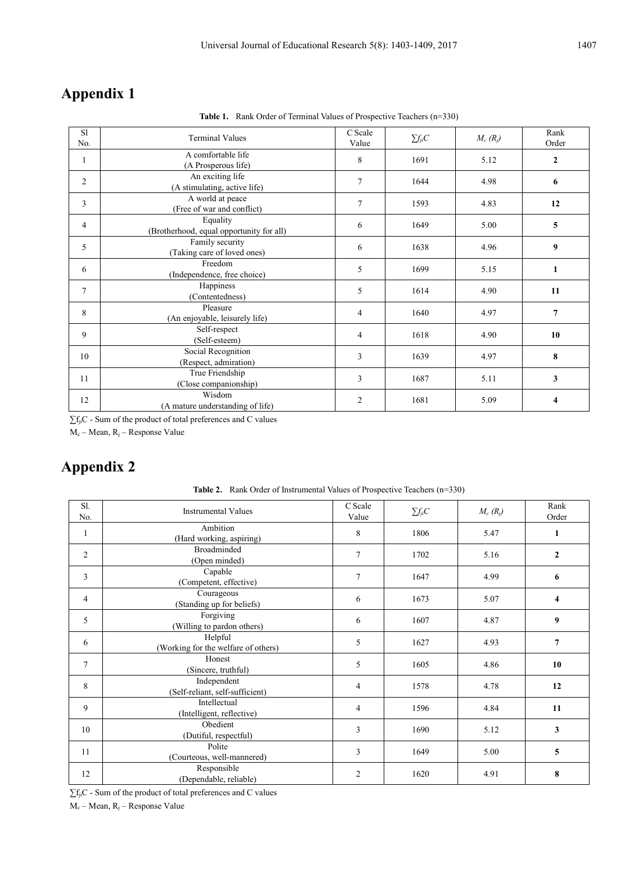# **Appendix 1**

Table 1. Rank Order of Terminal Values of Prospective Teachers (n=330)

| S1<br>No.      | <b>Terminal Values</b>                               | C Scale<br>Value | $\sum f_{ji} C$ | $M_c(R_i)$ | Rank<br>Order  |
|----------------|------------------------------------------------------|------------------|-----------------|------------|----------------|
| 1              | A comfortable life<br>(A Prosperous life)            | 8                | 1691            | 5.12       | $\overline{2}$ |
| 2              | An exciting life<br>(A stimulating, active life)     | 7                | 1644            | 4.98       | 6              |
| 3              | A world at peace<br>(Free of war and conflict)       | 7                | 1593            | 4.83       | 12             |
| 4              | Equality<br>(Brotherhood, equal opportunity for all) | 6                | 1649            | 5.00       | 5              |
| 5              | Family security<br>(Taking care of loved ones)       | 6                | 1638            | 4.96       | 9              |
| 6              | Freedom<br>(Independence, free choice)               | 5                | 1699            | 5.15       | 1              |
| $\overline{7}$ | Happiness<br>(Contentedness)                         | 5                | 1614            | 4.90       | 11             |
| 8              | Pleasure<br>(An enjoyable, leisurely life)           | 4                | 1640            | 4.97       | 7              |
| 9              | Self-respect<br>(Self-esteem)                        | 4                | 1618            | 4.90       | 10             |
| 10             | Social Recognition<br>(Respect, admiration)          | 3                | 1639            | 4.97       | 8              |
| 11             | True Friendship<br>(Close companionship)             | 3                | 1687            | 5.11       | 3              |
| 12             | Wisdom<br>(A mature understanding of life)           | 2                | 1681            | 5.09       | 4              |

∑f<sub>ji</sub>C - Sum of the product of total preferences and C values

 $M_c$  – Mean,  $R_i$  – Response Value

# **Appendix 2**

| SI.<br>No.     | <b>Instrumental Values</b>                     | C Scale<br>Value | $\sum f_{ji} C$ | $M_c(R_i)$ | Rank<br>Order  |
|----------------|------------------------------------------------|------------------|-----------------|------------|----------------|
| 1              | Ambition<br>(Hard working, aspiring)           | 8                | 1806            | 5.47       | 1              |
| $\overline{2}$ | <b>Broadminded</b><br>(Open minded)            | $\overline{7}$   | 1702            | 5.16       | $\overline{2}$ |
| 3              | Capable<br>(Competent, effective)              | 7                | 1647            | 4.99       | 6              |
| $\overline{4}$ | Courageous<br>(Standing up for beliefs)        | 6                | 1673            | 5.07       | 4              |
| 5              | Forgiving<br>(Willing to pardon others)        | 6                | 1607            | 4.87       | 9              |
| 6              | Helpful<br>(Working for the welfare of others) | 5                | 1627            | 4.93       | 7              |
| 7              | Honest<br>(Sincere, truthful)                  | 5                | 1605            | 4.86       | 10             |
| 8              | Independent<br>(Self-reliant, self-sufficient) | 4                | 1578            | 4.78       | 12             |
| 9              | Intellectual<br>(Intelligent, reflective)      | 4                | 1596            | 4.84       | 11             |
| 10             | Obedient<br>(Dutiful, respectful)              | 3                | 1690            | 5.12       | 3              |
| 11             | Polite<br>(Courteous, well-mannered)           | 3                | 1649            | 5.00       | 5              |
| 12             | Responsible<br>(Dependable, reliable)          | $\overline{2}$   | 1620            | 4.91       | 8              |

**Table 2.** Rank Order of Instrumental Values of Prospective Teachers (n=330)

∑f<sub>ji</sub>C - Sum of the product of total preferences and C values

 $M_c - Mean$ ,  $R_j - Response$  Value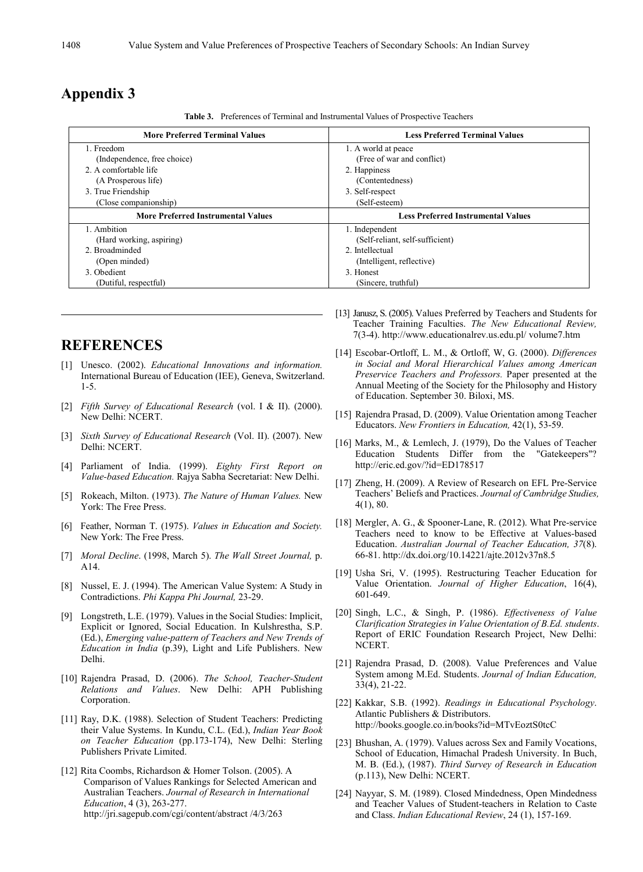### **Appendix 3**

**Table 3.** Preferences of Terminal and Instrumental Values of Prospective Teachers

| <b>More Preferred Terminal Values</b>     | <b>Less Preferred Terminal Values</b>     |  |  |
|-------------------------------------------|-------------------------------------------|--|--|
| 1. Freedom                                | 1. A world at peace                       |  |  |
| (Independence, free choice)               | (Free of war and conflict)                |  |  |
| 2. A comfortable life                     | 2. Happiness                              |  |  |
| (A Prosperous life)                       | (Contentedness)                           |  |  |
| 3. True Friendship                        | 3. Self-respect                           |  |  |
| (Close companionship)                     | (Self-esteem)                             |  |  |
| <b>More Preferred Instrumental Values</b> | <b>Less Preferred Instrumental Values</b> |  |  |
| 1. Ambition                               | 1. Independent                            |  |  |
| (Hard working, aspiring)                  | (Self-reliant, self-sufficient)           |  |  |
| 2. Broadminded                            | 2. Intellectual                           |  |  |
| (Open minded)                             | (Intelligent, reflective)                 |  |  |
| 3. Obedient                               | 3. Honest                                 |  |  |
| (Dutiful, respectful)                     | (Sincere, truthful)                       |  |  |

#### **REFERENCES**

- [1] Unesco. (2002). *Educational Innovations and information.* International Bureau of Education (IEE), Geneva, Switzerland. 1-5.
- [2] *Fifth Survey of Educational Research* (vol. I & II). (2000). New Delhi: NCERT.
- [3] *Sixth Survey of Educational Research* (Vol. II). (2007). New Delhi: NCERT.
- [4] Parliament of India. (1999). *Eighty First Report on Value-based Education.* Rajya Sabha Secretariat: New Delhi.
- [5] Rokeach, Milton. (1973). *The Nature of Human Values.* New York: The Free Press.
- [6] Feather, Norman T. (1975). *Values in Education and Society.* New York: The Free Press.
- [7] *Moral Decline*. (1998, March 5). *The Wall Street Journal,* p. A14.
- [8] Nussel, E. J. (1994). The American Value System: A Study in Contradictions. *Phi Kappa Phi Journal,* 23-29.
- [9] Longstreth, L.E. (1979). Values in the Social Studies: Implicit, Explicit or Ignored, Social Education. In Kulshrestha, S.P. (Ed.), *Emerging value-pattern of Teachers and New Trends of Education in India* (p.39), Light and Life Publishers. New Delhi.
- [10] Rajendra Prasad, D. (2006). *The School, Teacher-Student Relations and Values*. New Delhi: APH Publishing Corporation.
- [11] Ray, D.K. (1988). Selection of Student Teachers: Predicting their Value Systems. In Kundu, C.L. (Ed.), *Indian Year Book on Teacher Education* (pp.173-174), New Delhi: Sterling Publishers Private Limited.
- [12] Rita Coombs, Richardson & Homer Tolson. (2005). A Comparison of Values Rankings for Selected American and Australian Teachers. *Journal of Research in International Education*, 4 (3), 263-277. http://jri.sagepub.com/cgi/content/abstract /4/3/263
- [13] Janusz, S. (2005). Values Preferred by Teachers and Students for Teacher Training Faculties. *The New Educational Review,* 7(3-4). http://www.educationalrev.us.edu.pl/ volume7.htm
- [14] Escobar-Ortloff, L. M., & Ortloff, W, G. (2000). *Differences in Social and Moral Hierarchical Values among American Preservice Teachers and Professors.* Paper presented at the Annual Meeting of the Society for the Philosophy and History of Education. September 30. Biloxi, MS.
- [15] Rajendra Prasad, D. (2009). Value Orientation among Teacher Educators. *New Frontiers in Education,* 42(1), 53-59.
- [16] Marks, M., & Lemlech, J. (1979), Do the Values of Teacher Education Students Differ from the "Gatekeepers"? http://eric.ed.gov/?id=ED178517
- [17] Zheng, H. (2009). A Review of Research on EFL Pre-Service Teachers' Beliefs and Practices. *Journal of Cambridge Studies,*  4(1), 80.
- [18] Mergler, A. G., & Spooner-Lane, R. (2012). What Pre-service Teachers need to know to be Effective at Values-based Education. *Australian Journal of Teacher Education, 37*(8). 66-81. http://dx.doi.org/10.14221/ajte.2012v37n8.5
- [19] Usha Sri, V. (1995). Restructuring Teacher Education for Value Orientation. *Journal of Higher Education*, 16(4), 601-649.
- [20] Singh, L.C., & Singh, P. (1986). *Effectiveness of Value Clarification Strategies in Value Orientation of B.Ed. students*. Report of ERIC Foundation Research Project, New Delhi: NCERT.
- [21] Rajendra Prasad, D. (2008). Value Preferences and Value System among M.Ed. Students. *Journal of Indian Education,*  33(4), 21-22.
- [22] Kakkar, S.B. (1992). *Readings in Educational Psychology*. Atlantic Publishers & Distributors. http://books.google.co.in/books?id=MTvEoztS0tcC
- [23] Bhushan, A. (1979). Values across Sex and Family Vocations, School of Education, Himachal Pradesh University. In Buch, M. B. (Ed.), (1987). *Third Survey of Research in Education*  (p.113), New Delhi: NCERT.
- [24] Nayyar, S. M. (1989). Closed Mindedness, Open Mindedness and Teacher Values of Student-teachers in Relation to Caste and Class. *Indian Educational Review*, 24 (1), 157-169.